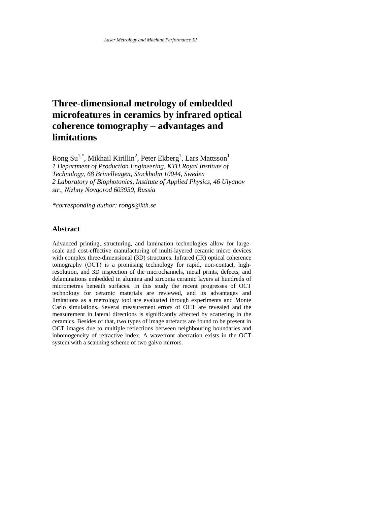# **Three-dimensional metrology of embedded microfeatures in ceramics by infrared optical coherence tomography – advantages and limitations**

Rong Su<sup>1,\*</sup>, Mikhail Kirillin<sup>2</sup>, Peter Ekberg<sup>1</sup>, Lars Mattsson<sup>1</sup> *1 Department of Production Engineering, KTH Royal Institute of Technology, 68 Brinellvägen, Stockholm 10044, Sweden 2 Laboratory of Biophotonics, Institute of Applied Physics, 46 Ulyanov str., Nizhny Novgorod 603950, Russia*

*\*corresponding author: rongs@kth.se*

## **Abstract**

Advanced printing, structuring, and lamination technologies allow for largescale and cost-effective manufacturing of multi-layered ceramic micro devices with complex three-dimensional (3D) structures. Infrared (IR) optical coherence tomography (OCT) is a promising technology for rapid, non-contact, highresolution, and 3D inspection of the microchannels, metal prints, defects, and delaminations embedded in alumina and zirconia ceramic layers at hundreds of micrometres beneath surfaces. In this study the recent progresses of OCT technology for ceramic materials are reviewed, and its advantages and limitations as a metrology tool are evaluated through experiments and Monte Carlo simulations. Several measurement errors of OCT are revealed and the measurement in lateral directions is significantly affected by scattering in the ceramics. Besides of that, two types of image artefacts are found to be present in OCT images due to multiple reflections between neighbouring boundaries and inhomogeneity of refractive index. A wavefront aberration exists in the OCT system with a scanning scheme of two galvo mirrors.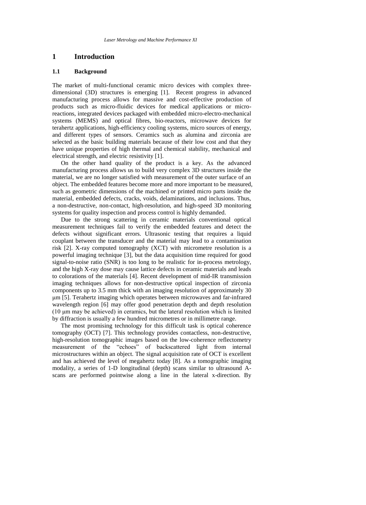## **1 Introduction**

#### **1.1 Background**

The market of multi-functional ceramic micro devices with complex threedimensional (3D) structures is emerging [\[1\].](#page-8-0) Recent progress in advanced manufacturing process allows for massive and cost-effective production of products such as micro-fluidic devices for medical applications or microreactions, integrated devices packaged with embedded micro-electro-mechanical systems (MEMS) and optical fibres, bio-reactors, microwave devices for terahertz applications, high-efficiency cooling systems, micro sources of energy, and different types of sensors. Ceramics such as alumina and zirconia are selected as the basic building materials because of their low cost and that they have unique properties of high thermal and chemical stability, mechanical and electrical strength, and electric resistivity [\[1\].](#page-8-0)

On the other hand quality of the product is a key. As the advanced manufacturing process allows us to build very complex 3D structures inside the material, we are no longer satisfied with measurement of the outer surface of an object. The embedded features become more and more important to be measured, such as geometric dimensions of the machined or printed micro parts inside the material, embedded defects, cracks, voids, delaminations, and inclusions. Thus, a non-destructive, non-contact, high-resolution, and high-speed 3D monitoring systems for quality inspection and process control is highly demanded.

Due to the strong scattering in ceramic materials conventional optical measurement techniques fail to verify the embedded features and detect the defects without significant errors. Ultrasonic testing that requires a liquid couplant between the transducer and the material may lead to a contamination risk [\[2\].](#page-8-1) X-ray computed tomography (XCT) with micrometre resolution is a powerful imaging technique [\[3\],](#page-8-2) but the data acquisition time required for good signal-to-noise ratio (SNR) is too long to be realistic for in-process metrology, and the high X-ray dose may cause lattice defects in ceramic materials and leads to colorations of the materials [\[4\].](#page-8-3) Recent development of mid-IR transmission imaging techniques allows for non-destructive optical inspection of zirconia components up to 3.5 mm thick with an imaging resolution of approximately 30 μm [\[5\].](#page-9-0) Terahertz imaging which operates between microwaves and far-infrared wavelength region [\[6\]](#page-9-1) may offer good penetration depth and depth resolution (10 μm may be achieved) in ceramics, but the lateral resolution which is limited by diffraction is usually a few hundred micrometres or in millimetre range.

The most promising technology for this difficult task is optical coherence tomography (OCT) [\[7\].](#page-9-2) This technology provides contactless, non-destructive, high-resolution tomographic images based on the low-coherence reflectometry measurement of the "echoes" of backscattered light from internal microstructures within an object. The signal acquisition rate of OCT is excellent and has achieved the level of megahertz today [\[8\].](#page-9-3) As a tomographic imaging modality, a series of 1-D longitudinal (depth) scans similar to ultrasound Ascans are performed pointwise along a line in the lateral x-direction. By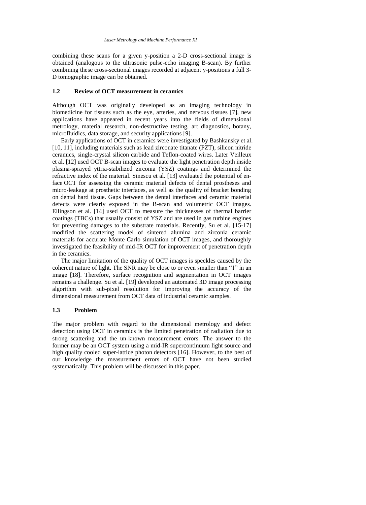combining these scans for a given y-position a 2-D cross-sectional image is obtained (analogous to the ultrasonic pulse-echo imaging B-scan). By further combining these cross-sectional images recorded at adjacent y-positions a full 3- D tomographic image can be obtained.

#### **1.2 Review of OCT measurement in ceramics**

Although OCT was originally developed as an imaging technology in biomedicine for tissues such as the eye, arteries, and nervous tissues [\[7\],](#page-9-2) new applications have appeared in recent years into the fields of dimensional metrology, material research, non-destructive testing, art diagnostics, botany, microfluidics, data storage, and security applications [\[9\].](#page-9-4)

Early applications of OCT in ceramics were investigated by Bashkansky et al. [10, 11], including materials such as lead zirconate titanate (PZT), silicon nitride ceramics, single-crystal silicon carbide and Teflon-coated wires. Later Veilleux et al. [\[12\]](#page-9-5) used OCT B-scan images to evaluate the light penetration depth inside plasma-sprayed yttria-stabilized zirconia (YSZ) coatings and determined the refractive index of the material. Sinescu et al. [\[13\]](#page-9-6) evaluated the potential of enface OCT for assessing the ceramic material defects of dental prostheses and micro-leakage at prosthetic interfaces, as well as the quality of bracket bonding on dental hard tissue. Gaps between the dental interfaces and ceramic material defects were clearly exposed in the B-scan and volumetric OCT images. Ellingson et al. [\[14\]](#page-9-7) used OCT to measure the thicknesses of thermal barrier coatings (TBCs) that usually consist of YSZ and are used in gas turbine engines for preventing damages to the substrate materials. Recently, Su et al. [15-17] modified the scattering model of sintered alumina and zirconia ceramic materials for accurate Monte Carlo simulation of OCT images, and thoroughly investigated the feasibility of mid-IR OCT for improvement of penetration depth in the ceramics.

The major limitation of the quality of OCT images is speckles caused by the coherent nature of light. The SNR may be close to or even smaller than "1" in an image [\[18\].](#page-9-8) Therefore, surface recognition and segmentation in OCT images remains a challenge. Su et al. [\[19\]](#page-9-9) developed an automated 3D image processing algorithm with sub-pixel resolution for improving the accuracy of the dimensional measurement from OCT data of industrial ceramic samples.

#### **1.3 Problem**

The major problem with regard to the dimensional metrology and defect detection using OCT in ceramics is the limited penetration of radiation due to strong scattering and the un-known measurement errors. The answer to the former may be an OCT system using a mid-IR supercontinuum light source and high quality cooled super-lattice photon detectors [\[16\].](#page-9-10) However, to the best of our knowledge the measurement errors of OCT have not been studied systematically. This problem will be discussed in this paper.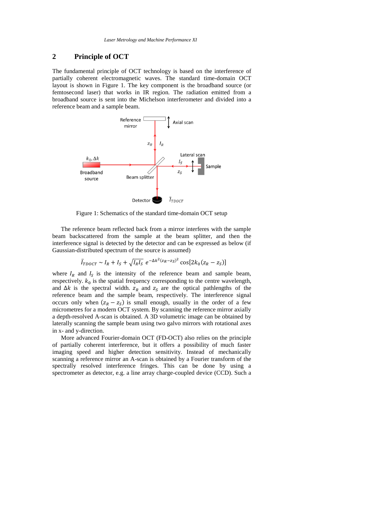## **2 Principle of OCT**

The fundamental principle of OCT technology is based on the interference of partially coherent electromagnetic waves. The standard time-domain OCT layout is shown in [Figure 1.](#page-3-0) The key component is the broadband source (or femtosecond laser) that works in IR region. The radiation emitted from a broadband source is sent into the Michelson interferometer and divided into a reference beam and a sample beam.



Figure 1: Schematics of the standard time-domain OCT setup

<span id="page-3-0"></span>The reference beam reflected back from a mirror interferes with the sample beam backscattered from the sample at the beam splitter, and then the interference signal is detected by the detector and can be expressed as below (if Gaussian-distributed spectrum of the source is assumed)

$$
\bar{I}_{TDOCT} \sim I_R + I_S + \sqrt{I_R I_S} e^{-\Delta k^2 (z_R - z_S)^2} \cos[2k_0 (z_R - z_S)]
$$

where  $I_R$  and  $I_S$  is the intensity of the reference beam and sample beam, respectively.  $k_0$  is the spatial frequency corresponding to the centre wavelength, and  $\Delta k$  is the spectral width.  $z_R$  and  $z_S$  are the optical pathlengths of the reference beam and the sample beam, respectively. The interference signal occurs only when  $(z_R - z_S)$  is small enough, usually in the order of a few micrometres for a modern OCT system. By scanning the reference mirror axially a depth-resolved A-scan is obtained. A 3D volumetric image can be obtained by laterally scanning the sample beam using two galvo mirrors with rotational axes in x- and y-direction.

More advanced Fourier-domain OCT (FD-OCT) also relies on the principle of partially coherent interference, but it offers a possibility of much faster imaging speed and higher detection sensitivity. Instead of mechanically scanning a reference mirror an A-scan is obtained by a Fourier transform of the spectrally resolved interference fringes. This can be done by using a spectrometer as detector, e.g. a line array charge-coupled device (CCD). Such a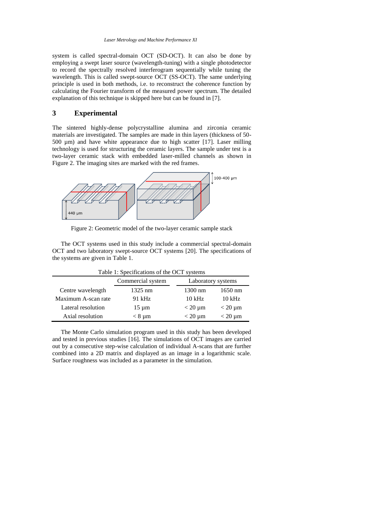system is called spectral-domain OCT (SD-OCT). It can also be done by employing a swept laser source (wavelength-tuning) with a single photodetector to record the spectrally resolved interferogram sequentially while tuning the wavelength. This is called swept-source OCT (SS-OCT). The same underlying principle is used in both methods, i.e. to reconstruct the coherence function by calculating the Fourier transform of the measured power spectrum. The detailed explanation of this technique is skipped here but can be found i[n \[7\].](#page-9-2)

### **3 Experimental**

The sintered highly-dense polycrystalline alumina and zirconia ceramic materials are investigated. The samples are made in thin layers (thickness of 50- 500 µm) and have white appearance due to high scatter [\[17\].](#page-9-11) Laser milling technology is used for structuring the ceramic layers. The sample under test is a two-layer ceramic stack with embedded laser-milled channels as shown in [Figure 2.](#page-4-0) The imaging sites are marked with the red frames.



Figure 2: Geometric model of the two-layer ceramic sample stack

<span id="page-4-0"></span>The OCT systems used in this study include a commercial spectral-domain OCT and two laboratory swept-source OCT systems [\[20\].](#page-9-12) The specifications of the systems are given in [Table 1.](#page-4-1)

<span id="page-4-1"></span>

| Table 1: Specifications of the OCT systems |                   |                    |                  |  |  |  |
|--------------------------------------------|-------------------|--------------------|------------------|--|--|--|
|                                            | Commercial system | Laboratory systems |                  |  |  |  |
| Centre wavelength                          | 1325 nm           | $1300 \text{ nm}$  | $1650$ nm        |  |  |  |
| Maximum A-scan rate                        | 91 kHz            | $10 \text{ kHz}$   | $10 \text{ kHz}$ |  |  |  |
| Lateral resolution                         | $15 \mu m$        | $<$ 20 $\mu$ m     | $<$ 20 $\mu$ m   |  |  |  |
| Axial resolution                           | $< 8 \mu m$       | $<$ 20 $\mu$ m     | $<$ 20 $\mu$ m   |  |  |  |

The Monte Carlo simulation program used in this study has been developed and tested in previous studies [\[16\].](#page-9-10) The simulations of OCT images are carried out by a consecutive step-wise calculation of individual A-scans that are further combined into a 2D matrix and displayed as an image in a logarithmic scale. Surface roughness was included as a parameter in the simulation.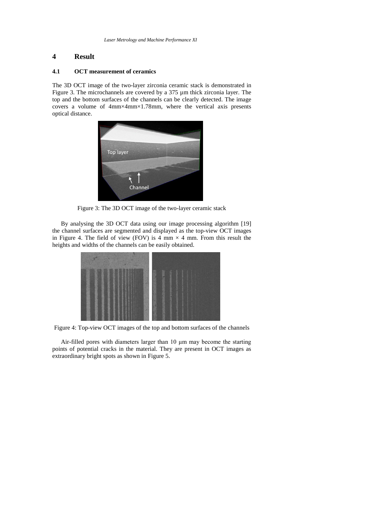## **4 Result**

#### **4.1 OCT measurement of ceramics**

The 3D OCT image of the two-layer zirconia ceramic stack is demonstrated in [Figure 3.](#page-5-0) The microchannels are covered by a 375 µm thick zirconia layer. The top and the bottom surfaces of the channels can be clearly detected. The image covers a volume of 4mm×4mm×1.78mm, where the vertical axis presents optical distance.



Figure 3: The 3D OCT image of the two-layer ceramic stack

<span id="page-5-0"></span>By analysing the 3D OCT data using our image processing algorithm [\[19\]](#page-9-9) the channel surfaces are segmented and displayed as the top-view OCT images in [Figure 4.](#page-5-1) The field of view (FOV) is 4 mm  $\times$  4 mm. From this result the heights and widths of the channels can be easily obtained.

| <b>Section</b>         | 58 |                                |  |  |
|------------------------|----|--------------------------------|--|--|
| ł                      | ł  |                                |  |  |
|                        |    | 小三大<br>R<br>ß.<br>٠            |  |  |
| ٠<br>٠<br>٠<br>r.<br>٠ |    | ×<br>13<br>$\frac{1}{2}$<br>93 |  |  |

<span id="page-5-1"></span>Figure 4: Top-view OCT images of the top and bottom surfaces of the channels

Air-filled pores with diameters larger than 10 μm may become the starting points of potential cracks in the material. They are present in OCT images as extraordinary bright spots as shown i[n Figure 5.](#page-6-0)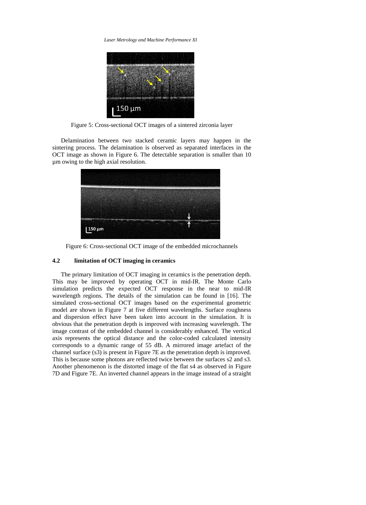*Laser Metrology and Machine Performance XI*



Figure 5: Cross-sectional OCT images of a sintered zirconia layer

<span id="page-6-0"></span>Delamination between two stacked ceramic layers may happen in the sintering process. The delamination is observed as separated interfaces in the OCT image as shown in [Figure 6.](#page-6-1) The detectable separation is smaller than 10 µm owing to the high axial resolution.



Figure 6: Cross-sectional OCT image of the embedded microchannels

#### <span id="page-6-1"></span>**4.2 limitation of OCT imaging in ceramics**

The primary limitation of OCT imaging in ceramics is the penetration depth. This may be improved by operating OCT in mid-IR. The Monte Carlo simulation predicts the expected OCT response in the near to mid-IR wavelength regions. The details of the simulation can be found in [\[16\].](#page-9-10) The simulated cross-sectional OCT images based on the experimental geometric model are shown in [Figure 7](#page-7-0) at five different wavelengths. Surface roughness and dispersion effect have been taken into account in the simulation. It is obvious that the penetration depth is improved with increasing wavelength. The image contrast of the embedded channel is considerably enhanced. The vertical axis represents the optical distance and the color-coded calculated intensity corresponds to a dynamic range of 55 dB. A mirrored image artefact of the channel surface (s3) is present in [Figure 7E](#page-7-0) as the penetration depth is improved. This is because some photons are reflected twice between the surfaces s2 and s3. Another phenomenon is the distorted image of the flat s4 as observed in [Figure](#page-7-0)  [7D](#page-7-0) and [Figure 7E](#page-7-0). An inverted channel appears in the image instead of a straight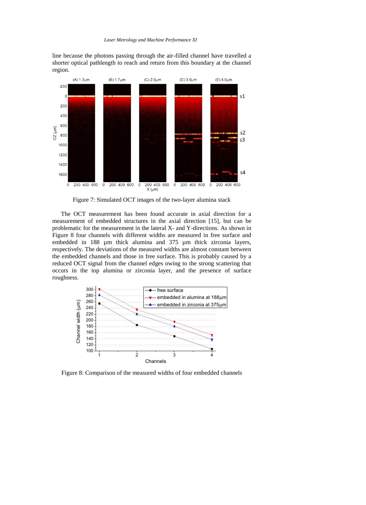line because the photons passing through the air-filled channel have travelled a shorter optical pathlength to reach and return from this boundary at the channel region.



Figure 7: Simulated OCT images of the two-layer alumina stack

<span id="page-7-0"></span>The OCT measurement has been found accurate in axial direction for a measurement of embedded structures in the axial direction [\[15\],](#page-9-13) but can be problematic for the measurement in the lateral X- and Y-directions. As shown in [Figure 8](#page-7-1) four channels with different widths are measured in free surface and embedded in 188 µm thick alumina and 375 µm thick zirconia layers, respectively. The deviations of the measured widths are almost constant between the embedded channels and those in free surface. This is probably caused by a reduced OCT signal from the channel edges owing to the strong scattering that occurs in the top alumina or zirconia layer, and the presence of surface roughness.



<span id="page-7-1"></span>Figure 8: Comparison of the measured widths of four embedded channels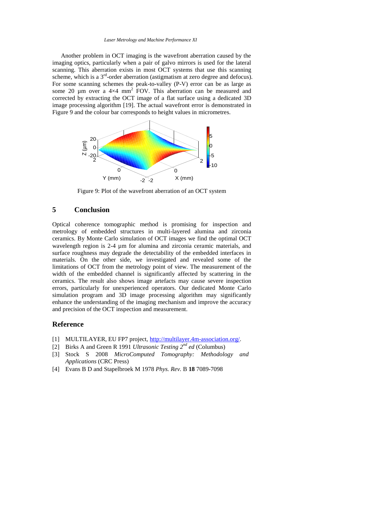#### *Laser Metrology and Machine Performance XI*

Another problem in OCT imaging is the wavefront aberration caused by the imaging optics, particularly when a pair of galvo mirrors is used for the lateral scanning. This aberration exists in most OCT systems that use this scanning scheme, which is a  $3<sup>rd</sup>$ -order aberration (astigmatism at zero degree and defocus). For some scanning schemes the peak-to-valley (P-V) error can be as large as some 20  $\mu$ m over a 4×4 mm<sup>2</sup> FOV. This aberration can be measured and corrected by extracting the OCT image of a flat surface using a dedicated 3D image processing algorithm [\[19\].](#page-9-9) The actual wavefront error is demonstrated in [Figure 9](#page-8-4) and the colour bar corresponds to height values in micrometres.



Figure 9: Plot of the wavefront aberration of an OCT system

## <span id="page-8-4"></span>**5 Conclusion**

Optical coherence tomographic method is promising for inspection and metrology of embedded structures in multi-layered alumina and zirconia ceramics. By Monte Carlo simulation of OCT images we find the optimal OCT wavelength region is 2-4  $\mu$ m for alumina and zirconia ceramic materials, and surface roughness may degrade the detectability of the embedded interfaces in materials. On the other side, we investigated and revealed some of the limitations of OCT from the metrology point of view. The measurement of the width of the embedded channel is significantly affected by scattering in the ceramics. The result also shows image artefacts may cause severe inspection errors, particularly for unexperienced operators. Our dedicated Monte Carlo simulation program and 3D image processing algorithm may significantly enhance the understanding of the imaging mechanism and improve the accuracy and precision of the OCT inspection and measurement.

#### **Reference**

- <span id="page-8-0"></span>[1] MULTILAYER, EU FP7 project[, http://multilayer.4m-association.org/.](http://multilayer.4m-association.org/)
- <span id="page-8-1"></span>[2] Birks A and Green R 1991 *Ultrasonic Testing 2nd ed* (Columbus)
- <span id="page-8-2"></span>[3] Stock S 2008 *MicroComputed Tomography: Methodology and Applications* (CRC Press)
- <span id="page-8-3"></span>[4] Evans B D and Stapelbroek M 1978 *Phys. Rev.* B **18** 7089-7098